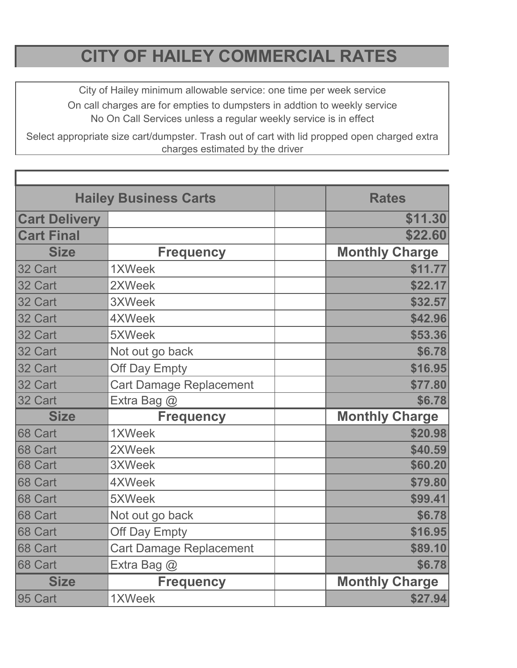## **CITY OF HAILEY COMMERCIAL RATES**

City of Hailey minimum allowable service: one time per week service On call charges are for empties to dumpsters in addtion to weekly service No On Call Services unless a regular weekly service is in effect

Select appropriate size cart/dumpster. Trash out of cart with lid propped open charged extra charges estimated by the driver

| <b>Hailey Business Carts</b> |                                | <b>Rates</b>          |
|------------------------------|--------------------------------|-----------------------|
| <b>Cart Delivery</b>         |                                | \$11.30               |
| <b>Cart Final</b>            |                                | \$22.60               |
| <b>Size</b>                  | <b>Frequency</b>               | <b>Monthly Charge</b> |
| 32 Cart                      | 1XWeek                         | \$11.77               |
| 32 Cart                      | 2XWeek                         | \$22.17               |
| 32 Cart                      | 3XWeek                         | \$32.57               |
| 32 Cart                      | 4XWeek                         | \$42.96               |
| 32 Cart                      | 5XWeek                         | \$53.36               |
| 32 Cart                      | Not out go back                | \$6.78                |
| 32 Cart                      | Off Day Empty                  | \$16.95               |
| 32 Cart                      | <b>Cart Damage Replacement</b> | \$77.80               |
| 32 Cart                      | Extra Bag @                    | \$6.78                |
| <b>Size</b>                  | <b>Frequency</b>               | <b>Monthly Charge</b> |
| 68 Cart                      | 1XWeek                         | \$20.98               |
| 68 Cart                      | 2XWeek                         | \$40.59               |
| 68 Cart                      | 3XWeek                         | \$60.20               |
| 68 Cart                      | 4XWeek                         | \$79.80               |
| 68 Cart                      | 5XWeek                         | \$99.41               |
| 68 Cart                      | Not out go back                | \$6.78                |
| 68 Cart                      | Off Day Empty                  | \$16.95               |
| 68 Cart                      | <b>Cart Damage Replacement</b> | \$89.10               |
| 68 Cart                      | Extra Bag @                    | \$6.78                |
| <b>Size</b>                  | <b>Frequency</b>               | <b>Monthly Charge</b> |
| 95 Cart                      | 1XWeek                         | \$27.94               |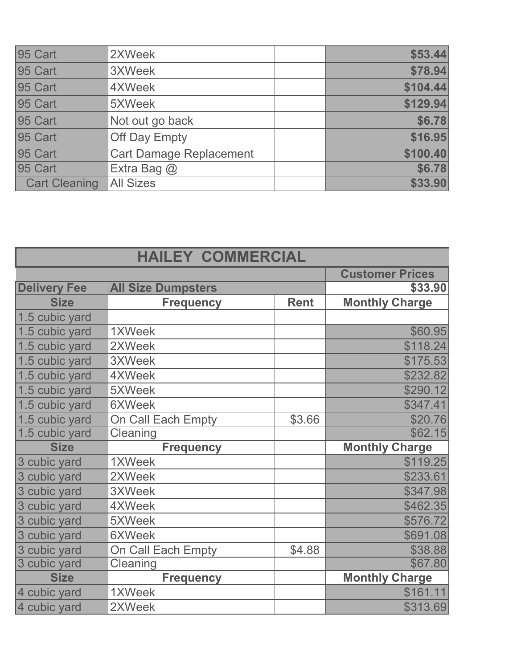| 95 Cart              | 2XWeek                         | \$53.44  |
|----------------------|--------------------------------|----------|
| 95 Cart              | 3XWeek                         | \$78.94  |
| 95 Cart              | 4XWeek                         | \$104.44 |
| 95 Cart              | 5XWeek                         | \$129.94 |
| 95 Cart              | Not out go back                | \$6.78   |
| 95 Cart              | <b>Off Day Empty</b>           | \$16.95  |
| 95 Cart              | <b>Cart Damage Replacement</b> | \$100.40 |
| 95 Cart              | Extra Bag $\omega$             | \$6.78   |
| <b>Cart Cleaning</b> | <b>All Sizes</b>               | \$33.90  |

| <b>HAILEY COMMERCIAL</b> |                                     |             |                       |  |
|--------------------------|-------------------------------------|-------------|-----------------------|--|
| <b>Customer Prices</b>   |                                     |             |                       |  |
| <b>Delivery Fee</b>      | <b>All Size Dumpsters</b>           |             | \$33.90               |  |
| <b>Size</b>              | <b>Frequency</b>                    | <b>Rent</b> | <b>Monthly Charge</b> |  |
| 1.5 cubic yard           |                                     |             |                       |  |
| 1.5 cubic yard           | 1XWeek                              |             | \$60.95               |  |
| 1.5 cubic yard           | 2XWeek                              |             | \$118.24              |  |
| 1.5 cubic yard           | 3XWeek                              |             | \$175.53              |  |
| 1.5 cubic yard           | 4XWeek                              |             | \$232.82              |  |
| 1.5 cubic yard           | 5XWeek                              |             | \$290.12              |  |
| 1.5 cubic yard           | <b>6XWeek</b>                       |             | \$347.41              |  |
| 1.5 cubic yard           | \$3.66<br><b>On Call Each Empty</b> |             | \$20.76               |  |
| 1.5 cubic yard           | Cleaning                            |             | \$62.15               |  |
| <b>Size</b>              | <b>Frequency</b>                    |             | <b>Monthly Charge</b> |  |
| 3 cubic yard             | 1XWeek                              |             | \$119.25              |  |
| 3 cubic yard             | 2XWeek                              |             | \$233.61              |  |
| 3 cubic yard             | 3XWeek                              |             | \$347.98              |  |
| 3 cubic yard             | 4XWeek                              |             | \$462.35              |  |
| 3 cubic yard             | 5XWeek                              |             | \$576.72              |  |
| 3 cubic yard             | <b>6XWeek</b>                       |             | \$691.08              |  |
| 3 cubic yard             | On Call Each Empty                  | \$4.88      | \$38.88               |  |
| 3 cubic yard             | Cleaning                            |             | \$67.80               |  |
| <b>Size</b>              | <b>Frequency</b>                    |             | <b>Monthly Charge</b> |  |
| 4 cubic yard             | 1XWeek                              |             | \$161.11              |  |
| 4 cubic yard             | 2XWeek                              |             | \$313.69              |  |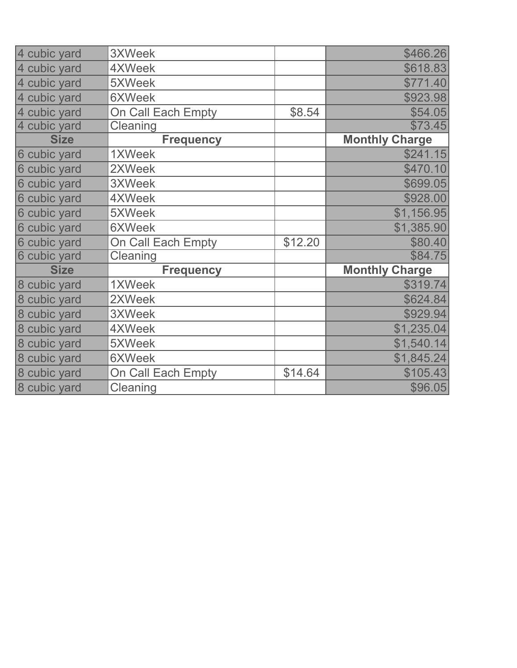| 4 cubic yard | <b>3XWeek</b>             |         | \$466.26              |
|--------------|---------------------------|---------|-----------------------|
| 4 cubic yard | 4XWeek                    |         | \$618.83              |
| 4 cubic yard | 5XWeek                    |         | \$771.40              |
| 4 cubic yard | <b>6XWeek</b>             |         | \$923.98              |
| 4 cubic yard | On Call Each Empty        | \$8.54  | \$54.05               |
| 4 cubic yard | Cleaning                  |         | \$73.45               |
| <b>Size</b>  | <b>Frequency</b>          |         | <b>Monthly Charge</b> |
| 6 cubic yard | 1XWeek                    |         | \$241.15              |
| 6 cubic yard | 2XWeek                    |         | \$470.10              |
| 6 cubic yard | 3XWeek                    |         | \$699.05              |
| 6 cubic yard | 4XWeek                    |         | \$928.00              |
| 6 cubic yard | 5XWeek                    |         | \$1,156.95            |
| 6 cubic yard | <b>6XWeek</b>             |         | \$1,385.90            |
| 6 cubic yard | <b>On Call Each Empty</b> | \$12.20 | \$80.40               |
| 6 cubic yard | Cleaning                  |         | \$84.75               |
| <b>Size</b>  | <b>Frequency</b>          |         | <b>Monthly Charge</b> |
| 8 cubic yard | 1XWeek                    |         | \$319.74              |
| 8 cubic yard | 2XWeek                    |         | \$624.84              |
| 8 cubic yard | <b>3XWeek</b>             |         | \$929.94              |
| 8 cubic yard | 4XWeek                    |         | \$1,235.04            |
| 8 cubic yard | 5XWeek                    |         | \$1,540.14            |
| 8 cubic yard | <b>6XWeek</b>             |         | \$1,845.24            |
| 8 cubic yard | On Call Each Empty        | \$14.64 | \$105.43              |
| 8 cubic yard | Cleaning                  |         | \$96.05               |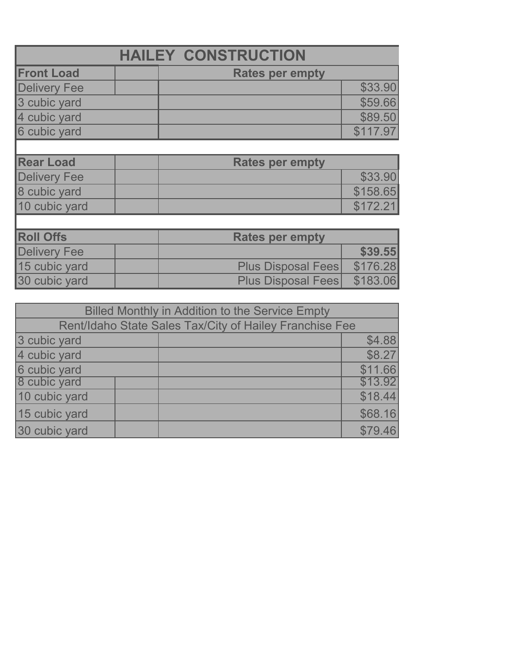|                     | <b>HAILEY CONSTRUCTION</b> |          |
|---------------------|----------------------------|----------|
| <b>Front Load</b>   | <b>Rates per empty</b>     |          |
| <b>Delivery Fee</b> |                            | \$33.90  |
| 3 cubic yard        |                            | \$59.66  |
| 4 cubic yard        |                            | \$89.50  |
| 6 cubic yard        |                            | \$117.97 |
|                     |                            |          |
| <b>Rear Load</b>    | <b>Rates per empty</b>     |          |
| <b>Delivery Fee</b> |                            | \$33.90  |
| 8 cubic yard        |                            | \$158.65 |
| 10 cubic yard       |                            | \$172.21 |
|                     |                            |          |
| <b>Roll Offs</b>    | <b>Rates per empty</b>     |          |
| <b>Delivery Fee</b> |                            | \$39.55  |
| 15 cubic yard       | <b>Plus Disposal Fees</b>  | \$176.28 |
| 30 cubic yard       | <b>Plus Disposal Fees</b>  | \$183.06 |

| <b>Billed Monthly in Addition to the Service Empty</b>  |  |  |         |  |
|---------------------------------------------------------|--|--|---------|--|
| Rent/Idaho State Sales Tax/City of Hailey Franchise Fee |  |  |         |  |
| 3 cubic yard                                            |  |  | \$4.88  |  |
| 4 cubic yard                                            |  |  | \$8.27  |  |
| 6 cubic yard                                            |  |  | \$11.66 |  |
| 8 cubic yard                                            |  |  | \$13.92 |  |
| 10 cubic yard                                           |  |  | \$18.44 |  |
| 15 cubic yard                                           |  |  | \$68.16 |  |
| 30 cubic yard                                           |  |  | \$79.46 |  |